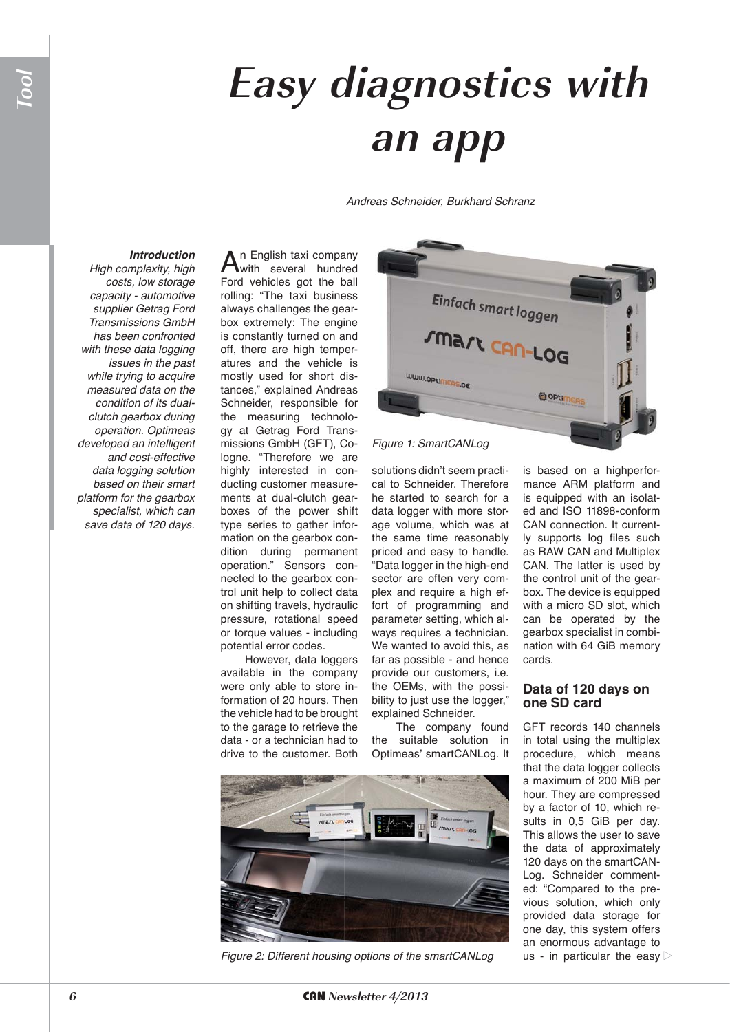## **Easy diagnostics with an app**

*Andreas Schneider, Burkhard Schranz*

## *Introduction*

*High complexity, high costs, low storage capacity - automotive supplier Getrag Ford Transmissions GmbH has been confronted with these data logging issues in the past while trying to acquire measured data on the condition of its dualclutch gearbox during operation. Optimeas developed an intelligent and cost-effective data logging solution based on their smart platform for the gearbox specialist, which can save data of 120 days.*

An English taxi company<br>with several hundred Ford vehicles got the ball rolling: "The taxi business always challenges the gearbox extremely: The engine is constantly turned on and off, there are high temperatures and the vehicle is mostly used for short distances," explained Andreas Schneider, responsible for the measuring technology at Getrag Ford Transmissions GmbH (GFT), Cologne. "Therefore we are highly interested in conducting customer measurements at dual-clutch gearboxes of the power shift type series to gather information on the gearbox condition during permanent operation." Sensors connected to the gearbox control unit help to collect data on shifting travels, hydraulic pressure, rotational speed or torque values - including potential error codes.

However, data loggers available in the company were only able to store information of 20 hours. Then the vehicle had to be brought to the garage to retrieve the data - or a technician had to drive to the customer. Both



*Figure 1: SmartCANLog*

solutions didn't seem practical to Schneider. Therefore he started to search for a data logger with more storage volume, which was at the same time reasonably priced and easy to handle. "Data logger in the high-end sector are often very complex and require a high effort of programming and parameter setting, which always requires a technician. We wanted to avoid this, as far as possible - and hence provide our customers, i.e. the OEMs, with the possibility to just use the logger," explained Schneider.

The company found the suitable solution in Optimeas' smartCANLog. It



*Figure 2: Different housing options of the smartCANLog* us - in particular the easy  $\triangleright$ 

is based on a highperformance ARM platform and is equipped with an isolated and ISO 11898-conform CAN connection. It currently supports log files such as RAW CAN and Multiplex CAN. The latter is used by the control unit of the gearbox. The device is equipped with a micro SD slot, which can be operated by the gearbox specialist in combination with 64 GiB memory cards.

## Data of 120 days on one SD card

GFT records 140 channels in total using the multiplex procedure, which means that the data logger collects a maximum of 200 MiB per hour. They are compressed by a factor of 10, which results in 0,5 GiB per day. This allows the user to save the data of approximately 120 days on the smartCAN-Log. Schneider commented: "Compared to the previous solution, which only provided data storage for one day, this system offers an enormous advantage to